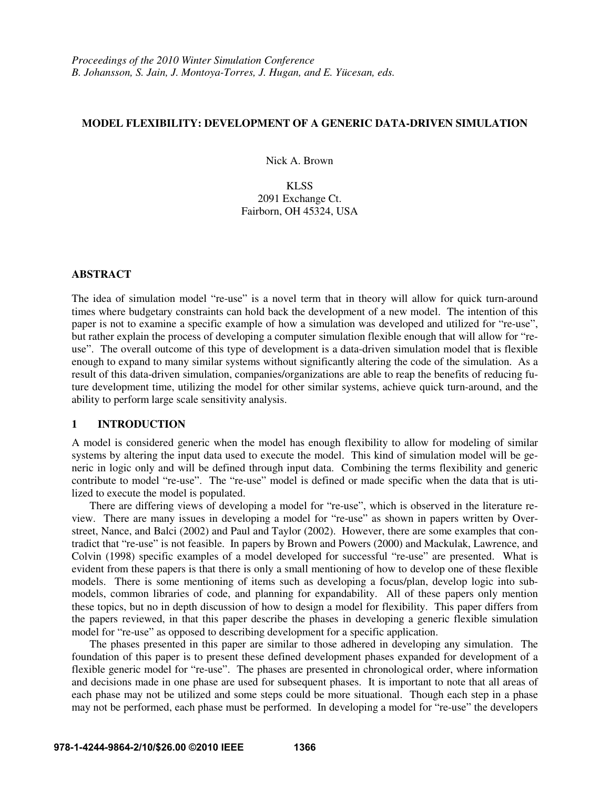# **MODEL FLEXIBILITY: DEVELOPMENT OF A GENERIC DATA-DRIVEN SIMULATION**

Nick A. Brown

KLSS 2091 Exchange Ct. Fairborn, OH 45324, USA

# **ABSTRACT**

The idea of simulation model "re-use" is a novel term that in theory will allow for quick turn-around times where budgetary constraints can hold back the development of a new model. The intention of this paper is not to examine a specific example of how a simulation was developed and utilized for "re-use", but rather explain the process of developing a computer simulation flexible enough that will allow for "reuse". The overall outcome of this type of development is a data-driven simulation model that is flexible enough to expand to many similar systems without significantly altering the code of the simulation. As a result of this data-driven simulation, companies/organizations are able to reap the benefits of reducing future development time, utilizing the model for other similar systems, achieve quick turn-around, and the ability to perform large scale sensitivity analysis.

# **1 INTRODUCTION**

A model is considered generic when the model has enough flexibility to allow for modeling of similar systems by altering the input data used to execute the model. This kind of simulation model will be generic in logic only and will be defined through input data. Combining the terms flexibility and generic contribute to model "re-use". The "re-use" model is defined or made specific when the data that is utilized to execute the model is populated.

 There are differing views of developing a model for "re-use", which is observed in the literature review. There are many issues in developing a model for "re-use" as shown in papers written by Overstreet, Nance, and Balci (2002) and Paul and Taylor (2002). However, there are some examples that contradict that "re-use" is not feasible. In papers by Brown and Powers (2000) and Mackulak, Lawrence, and Colvin (1998) specific examples of a model developed for successful "re-use" are presented. What is evident from these papers is that there is only a small mentioning of how to develop one of these flexible models. There is some mentioning of items such as developing a focus/plan, develop logic into submodels, common libraries of code, and planning for expandability. All of these papers only mention these topics, but no in depth discussion of how to design a model for flexibility. This paper differs from the papers reviewed, in that this paper describe the phases in developing a generic flexible simulation model for "re-use" as opposed to describing development for a specific application.

 The phases presented in this paper are similar to those adhered in developing any simulation. The foundation of this paper is to present these defined development phases expanded for development of a flexible generic model for "re-use". The phases are presented in chronological order, where information and decisions made in one phase are used for subsequent phases. It is important to note that all areas of each phase may not be utilized and some steps could be more situational. Though each step in a phase may not be performed, each phase must be performed. In developing a model for "re-use" the developers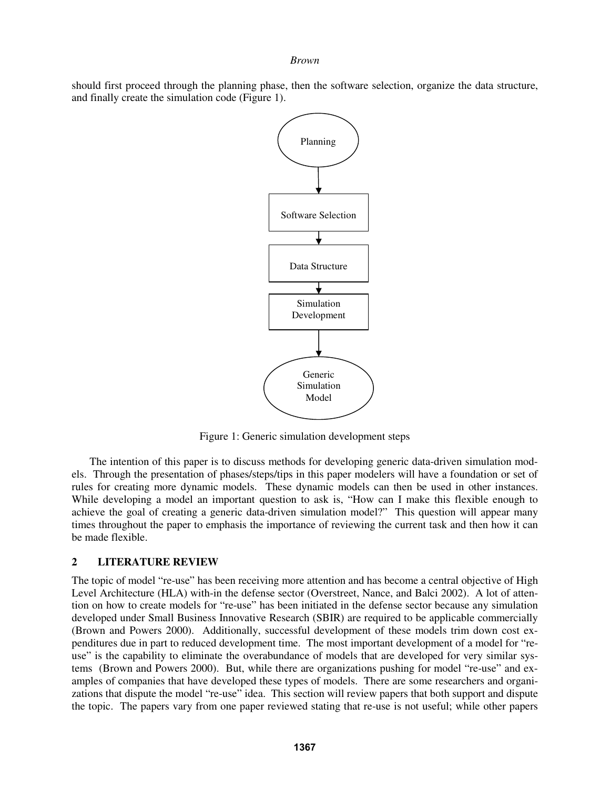should first proceed through the planning phase, then the software selection, organize the data structure, and finally create the simulation code (Figure 1).



Figure 1: Generic simulation development steps

 The intention of this paper is to discuss methods for developing generic data-driven simulation models. Through the presentation of phases/steps/tips in this paper modelers will have a foundation or set of rules for creating more dynamic models. These dynamic models can then be used in other instances. While developing a model an important question to ask is, "How can I make this flexible enough to achieve the goal of creating a generic data-driven simulation model?" This question will appear many times throughout the paper to emphasis the importance of reviewing the current task and then how it can be made flexible.

# **2 LITERATURE REVIEW**

The topic of model "re-use" has been receiving more attention and has become a central objective of High Level Architecture (HLA) with-in the defense sector (Overstreet, Nance, and Balci 2002). A lot of attention on how to create models for "re-use" has been initiated in the defense sector because any simulation developed under Small Business Innovative Research (SBIR) are required to be applicable commercially (Brown and Powers 2000). Additionally, successful development of these models trim down cost expenditures due in part to reduced development time. The most important development of a model for "reuse" is the capability to eliminate the overabundance of models that are developed for very similar systems (Brown and Powers 2000). But, while there are organizations pushing for model "re-use" and examples of companies that have developed these types of models. There are some researchers and organizations that dispute the model "re-use" idea. This section will review papers that both support and dispute the topic. The papers vary from one paper reviewed stating that re-use is not useful; while other papers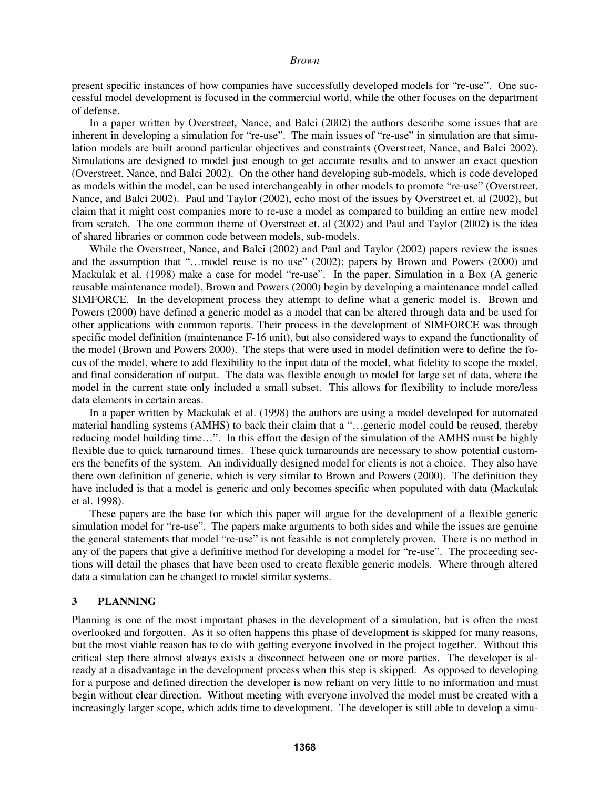present specific instances of how companies have successfully developed models for "re-use". One successful model development is focused in the commercial world, while the other focuses on the department of defense.

 In a paper written by Overstreet, Nance, and Balci (2002) the authors describe some issues that are inherent in developing a simulation for "re-use". The main issues of "re-use" in simulation are that simulation models are built around particular objectives and constraints (Overstreet, Nance, and Balci 2002). Simulations are designed to model just enough to get accurate results and to answer an exact question (Overstreet, Nance, and Balci 2002). On the other hand developing sub-models, which is code developed as models within the model, can be used interchangeably in other models to promote "re-use" (Overstreet, Nance, and Balci 2002). Paul and Taylor (2002), echo most of the issues by Overstreet et. al (2002), but claim that it might cost companies more to re-use a model as compared to building an entire new model from scratch. The one common theme of Overstreet et. al (2002) and Paul and Taylor (2002) is the idea of shared libraries or common code between models, sub-models.

 While the Overstreet, Nance, and Balci (2002) and Paul and Taylor (2002) papers review the issues and the assumption that "…model reuse is no use" (2002); papers by Brown and Powers (2000) and Mackulak et al. (1998) make a case for model "re-use". In the paper, Simulation in a Box (A generic reusable maintenance model), Brown and Powers (2000) begin by developing a maintenance model called SIMFORCE. In the development process they attempt to define what a generic model is. Brown and Powers (2000) have defined a generic model as a model that can be altered through data and be used for other applications with common reports. Their process in the development of SIMFORCE was through specific model definition (maintenance F-16 unit), but also considered ways to expand the functionality of the model (Brown and Powers 2000). The steps that were used in model definition were to define the focus of the model, where to add flexibility to the input data of the model, what fidelity to scope the model, and final consideration of output. The data was flexible enough to model for large set of data, where the model in the current state only included a small subset. This allows for flexibility to include more/less data elements in certain areas.

 In a paper written by Mackulak et al. (1998) the authors are using a model developed for automated material handling systems (AMHS) to back their claim that a "…generic model could be reused, thereby reducing model building time…". In this effort the design of the simulation of the AMHS must be highly flexible due to quick turnaround times. These quick turnarounds are necessary to show potential customers the benefits of the system. An individually designed model for clients is not a choice. They also have there own definition of generic, which is very similar to Brown and Powers (2000). The definition they have included is that a model is generic and only becomes specific when populated with data (Mackulak et al. 1998).

 These papers are the base for which this paper will argue for the development of a flexible generic simulation model for "re-use". The papers make arguments to both sides and while the issues are genuine the general statements that model "re-use" is not feasible is not completely proven. There is no method in any of the papers that give a definitive method for developing a model for "re-use". The proceeding sections will detail the phases that have been used to create flexible generic models. Where through altered data a simulation can be changed to model similar systems.

## **3 PLANNING**

Planning is one of the most important phases in the development of a simulation, but is often the most overlooked and forgotten. As it so often happens this phase of development is skipped for many reasons, but the most viable reason has to do with getting everyone involved in the project together. Without this critical step there almost always exists a disconnect between one or more parties. The developer is already at a disadvantage in the development process when this step is skipped. As opposed to developing for a purpose and defined direction the developer is now reliant on very little to no information and must begin without clear direction. Without meeting with everyone involved the model must be created with a increasingly larger scope, which adds time to development. The developer is still able to develop a simu-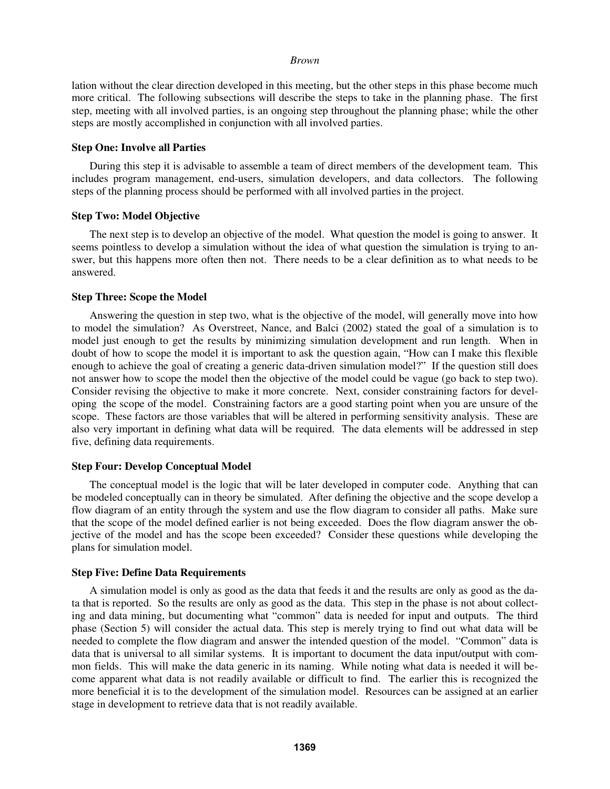lation without the clear direction developed in this meeting, but the other steps in this phase become much more critical. The following subsections will describe the steps to take in the planning phase. The first step, meeting with all involved parties, is an ongoing step throughout the planning phase; while the other steps are mostly accomplished in conjunction with all involved parties.

# **Step One: Involve all Parties**

 During this step it is advisable to assemble a team of direct members of the development team. This includes program management, end-users, simulation developers, and data collectors. The following steps of the planning process should be performed with all involved parties in the project.

## **Step Two: Model Objective**

 The next step is to develop an objective of the model. What question the model is going to answer. It seems pointless to develop a simulation without the idea of what question the simulation is trying to answer, but this happens more often then not. There needs to be a clear definition as to what needs to be answered.

### **Step Three: Scope the Model**

 Answering the question in step two, what is the objective of the model, will generally move into how to model the simulation? As Overstreet, Nance, and Balci (2002) stated the goal of a simulation is to model just enough to get the results by minimizing simulation development and run length. When in doubt of how to scope the model it is important to ask the question again, "How can I make this flexible enough to achieve the goal of creating a generic data-driven simulation model?" If the question still does not answer how to scope the model then the objective of the model could be vague (go back to step two). Consider revising the objective to make it more concrete. Next, consider constraining factors for developing the scope of the model. Constraining factors are a good starting point when you are unsure of the scope. These factors are those variables that will be altered in performing sensitivity analysis. These are also very important in defining what data will be required. The data elements will be addressed in step five, defining data requirements.

## **Step Four: Develop Conceptual Model**

 The conceptual model is the logic that will be later developed in computer code. Anything that can be modeled conceptually can in theory be simulated. After defining the objective and the scope develop a flow diagram of an entity through the system and use the flow diagram to consider all paths. Make sure that the scope of the model defined earlier is not being exceeded. Does the flow diagram answer the objective of the model and has the scope been exceeded? Consider these questions while developing the plans for simulation model.

#### **Step Five: Define Data Requirements**

 A simulation model is only as good as the data that feeds it and the results are only as good as the data that is reported. So the results are only as good as the data. This step in the phase is not about collecting and data mining, but documenting what "common" data is needed for input and outputs. The third phase (Section 5) will consider the actual data. This step is merely trying to find out what data will be needed to complete the flow diagram and answer the intended question of the model. "Common" data is data that is universal to all similar systems. It is important to document the data input/output with common fields. This will make the data generic in its naming. While noting what data is needed it will become apparent what data is not readily available or difficult to find. The earlier this is recognized the more beneficial it is to the development of the simulation model. Resources can be assigned at an earlier stage in development to retrieve data that is not readily available.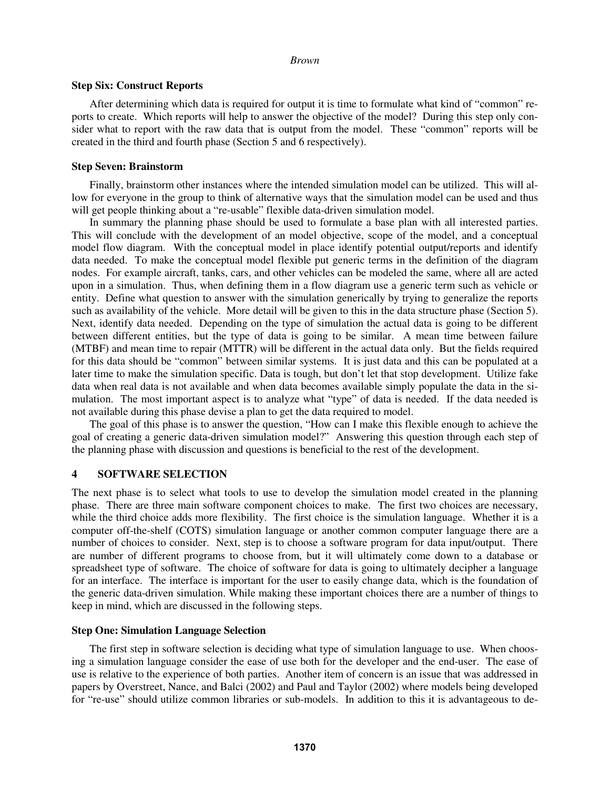### **Step Six: Construct Reports**

 After determining which data is required for output it is time to formulate what kind of "common" reports to create. Which reports will help to answer the objective of the model? During this step only consider what to report with the raw data that is output from the model. These "common" reports will be created in the third and fourth phase (Section 5 and 6 respectively).

## **Step Seven: Brainstorm**

 Finally, brainstorm other instances where the intended simulation model can be utilized. This will allow for everyone in the group to think of alternative ways that the simulation model can be used and thus will get people thinking about a "re-usable" flexible data-driven simulation model.

 In summary the planning phase should be used to formulate a base plan with all interested parties. This will conclude with the development of an model objective, scope of the model, and a conceptual model flow diagram. With the conceptual model in place identify potential output/reports and identify data needed. To make the conceptual model flexible put generic terms in the definition of the diagram nodes. For example aircraft, tanks, cars, and other vehicles can be modeled the same, where all are acted upon in a simulation. Thus, when defining them in a flow diagram use a generic term such as vehicle or entity. Define what question to answer with the simulation generically by trying to generalize the reports such as availability of the vehicle. More detail will be given to this in the data structure phase (Section 5). Next, identify data needed. Depending on the type of simulation the actual data is going to be different between different entities, but the type of data is going to be similar. A mean time between failure (MTBF) and mean time to repair (MTTR) will be different in the actual data only. But the fields required for this data should be "common" between similar systems. It is just data and this can be populated at a later time to make the simulation specific. Data is tough, but don't let that stop development. Utilize fake data when real data is not available and when data becomes available simply populate the data in the simulation. The most important aspect is to analyze what "type" of data is needed. If the data needed is not available during this phase devise a plan to get the data required to model.

 The goal of this phase is to answer the question, "How can I make this flexible enough to achieve the goal of creating a generic data-driven simulation model?" Answering this question through each step of the planning phase with discussion and questions is beneficial to the rest of the development.

# **4 SOFTWARE SELECTION**

The next phase is to select what tools to use to develop the simulation model created in the planning phase. There are three main software component choices to make. The first two choices are necessary, while the third choice adds more flexibility. The first choice is the simulation language. Whether it is a computer off-the-shelf (COTS) simulation language or another common computer language there are a number of choices to consider. Next, step is to choose a software program for data input/output. There are number of different programs to choose from, but it will ultimately come down to a database or spreadsheet type of software. The choice of software for data is going to ultimately decipher a language for an interface. The interface is important for the user to easily change data, which is the foundation of the generic data-driven simulation. While making these important choices there are a number of things to keep in mind, which are discussed in the following steps.

# **Step One: Simulation Language Selection**

 The first step in software selection is deciding what type of simulation language to use. When choosing a simulation language consider the ease of use both for the developer and the end-user. The ease of use is relative to the experience of both parties. Another item of concern is an issue that was addressed in papers by Overstreet, Nance, and Balci (2002) and Paul and Taylor (2002) where models being developed for "re-use" should utilize common libraries or sub-models. In addition to this it is advantageous to de-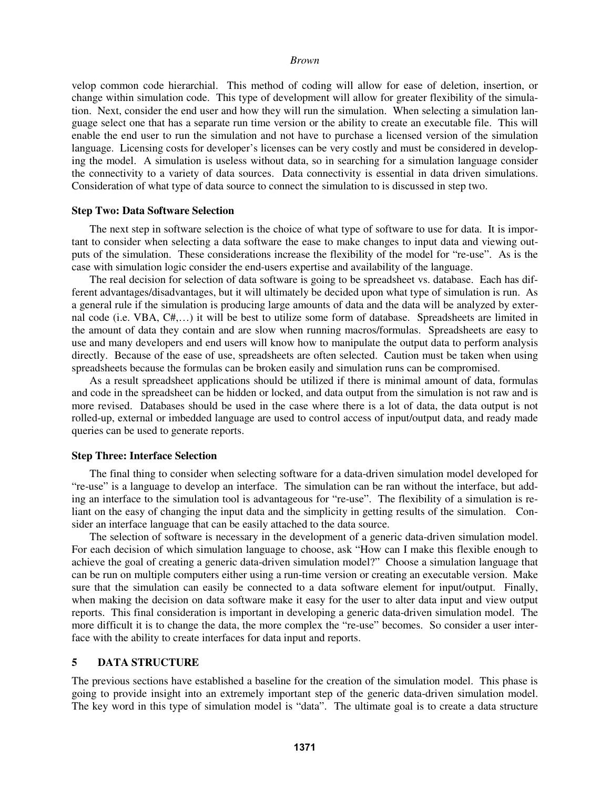velop common code hierarchial. This method of coding will allow for ease of deletion, insertion, or change within simulation code. This type of development will allow for greater flexibility of the simulation. Next, consider the end user and how they will run the simulation. When selecting a simulation language select one that has a separate run time version or the ability to create an executable file. This will enable the end user to run the simulation and not have to purchase a licensed version of the simulation language. Licensing costs for developer's licenses can be very costly and must be considered in developing the model. A simulation is useless without data, so in searching for a simulation language consider the connectivity to a variety of data sources. Data connectivity is essential in data driven simulations. Consideration of what type of data source to connect the simulation to is discussed in step two.

## **Step Two: Data Software Selection**

 The next step in software selection is the choice of what type of software to use for data. It is important to consider when selecting a data software the ease to make changes to input data and viewing outputs of the simulation. These considerations increase the flexibility of the model for "re-use". As is the case with simulation logic consider the end-users expertise and availability of the language.

 The real decision for selection of data software is going to be spreadsheet vs. database. Each has different advantages/disadvantages, but it will ultimately be decided upon what type of simulation is run. As a general rule if the simulation is producing large amounts of data and the data will be analyzed by external code (i.e. VBA, C#,…) it will be best to utilize some form of database. Spreadsheets are limited in the amount of data they contain and are slow when running macros/formulas. Spreadsheets are easy to use and many developers and end users will know how to manipulate the output data to perform analysis directly. Because of the ease of use, spreadsheets are often selected. Caution must be taken when using spreadsheets because the formulas can be broken easily and simulation runs can be compromised.

 As a result spreadsheet applications should be utilized if there is minimal amount of data, formulas and code in the spreadsheet can be hidden or locked, and data output from the simulation is not raw and is more revised. Databases should be used in the case where there is a lot of data, the data output is not rolled-up, external or imbedded language are used to control access of input/output data, and ready made queries can be used to generate reports.

#### **Step Three: Interface Selection**

 The final thing to consider when selecting software for a data-driven simulation model developed for "re-use" is a language to develop an interface. The simulation can be ran without the interface, but adding an interface to the simulation tool is advantageous for "re-use". The flexibility of a simulation is reliant on the easy of changing the input data and the simplicity in getting results of the simulation. Consider an interface language that can be easily attached to the data source.

 The selection of software is necessary in the development of a generic data-driven simulation model. For each decision of which simulation language to choose, ask "How can I make this flexible enough to achieve the goal of creating a generic data-driven simulation model?" Choose a simulation language that can be run on multiple computers either using a run-time version or creating an executable version. Make sure that the simulation can easily be connected to a data software element for input/output. Finally, when making the decision on data software make it easy for the user to alter data input and view output reports. This final consideration is important in developing a generic data-driven simulation model. The more difficult it is to change the data, the more complex the "re-use" becomes. So consider a user interface with the ability to create interfaces for data input and reports.

## **5 DATA STRUCTURE**

The previous sections have established a baseline for the creation of the simulation model. This phase is going to provide insight into an extremely important step of the generic data-driven simulation model. The key word in this type of simulation model is "data". The ultimate goal is to create a data structure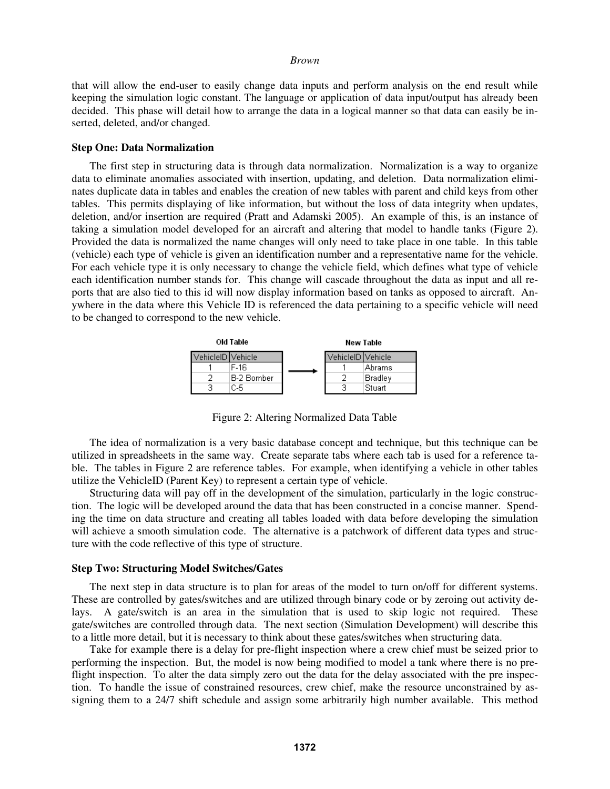that will allow the end-user to easily change data inputs and perform analysis on the end result while keeping the simulation logic constant. The language or application of data input/output has already been decided. This phase will detail how to arrange the data in a logical manner so that data can easily be inserted, deleted, and/or changed.

## **Step One: Data Normalization**

 The first step in structuring data is through data normalization. Normalization is a way to organize data to eliminate anomalies associated with insertion, updating, and deletion. Data normalization eliminates duplicate data in tables and enables the creation of new tables with parent and child keys from other tables. This permits displaying of like information, but without the loss of data integrity when updates, deletion, and/or insertion are required (Pratt and Adamski 2005). An example of this, is an instance of taking a simulation model developed for an aircraft and altering that model to handle tanks (Figure 2). Provided the data is normalized the name changes will only need to take place in one table. In this table (vehicle) each type of vehicle is given an identification number and a representative name for the vehicle. For each vehicle type it is only necessary to change the vehicle field, which defines what type of vehicle each identification number stands for. This change will cascade throughout the data as input and all reports that are also tied to this id will now display information based on tanks as opposed to aircraft. Anywhere in the data where this Vehicle ID is referenced the data pertaining to a specific vehicle will need to be changed to correspond to the new vehicle.



Figure 2: Altering Normalized Data Table

 The idea of normalization is a very basic database concept and technique, but this technique can be utilized in spreadsheets in the same way. Create separate tabs where each tab is used for a reference table. The tables in Figure 2 are reference tables. For example, when identifying a vehicle in other tables utilize the VehicleID (Parent Key) to represent a certain type of vehicle.

 Structuring data will pay off in the development of the simulation, particularly in the logic construction. The logic will be developed around the data that has been constructed in a concise manner. Spending the time on data structure and creating all tables loaded with data before developing the simulation will achieve a smooth simulation code. The alternative is a patchwork of different data types and structure with the code reflective of this type of structure.

#### **Step Two: Structuring Model Switches/Gates**

 The next step in data structure is to plan for areas of the model to turn on/off for different systems. These are controlled by gates/switches and are utilized through binary code or by zeroing out activity delays. A gate/switch is an area in the simulation that is used to skip logic not required. These gate/switches are controlled through data. The next section (Simulation Development) will describe this to a little more detail, but it is necessary to think about these gates/switches when structuring data.

 Take for example there is a delay for pre-flight inspection where a crew chief must be seized prior to performing the inspection. But, the model is now being modified to model a tank where there is no preflight inspection. To alter the data simply zero out the data for the delay associated with the pre inspection. To handle the issue of constrained resources, crew chief, make the resource unconstrained by assigning them to a 24/7 shift schedule and assign some arbitrarily high number available. This method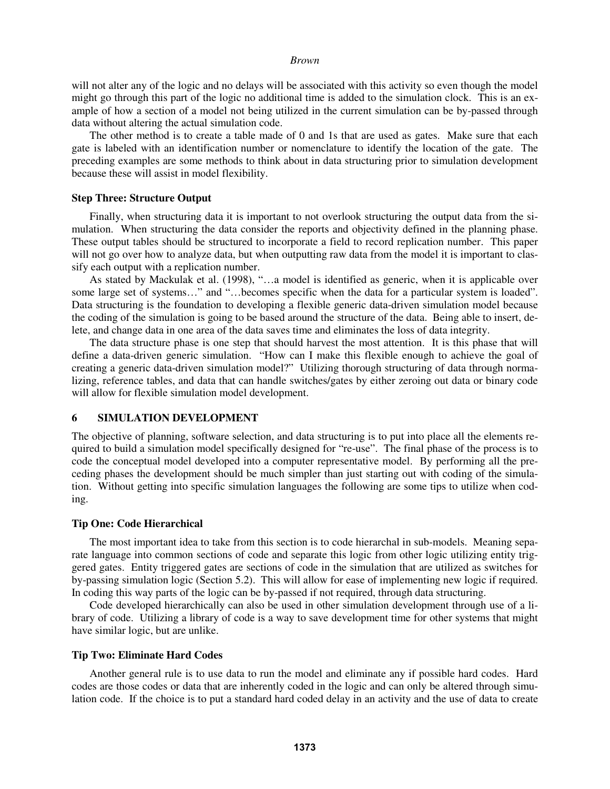will not alter any of the logic and no delays will be associated with this activity so even though the model might go through this part of the logic no additional time is added to the simulation clock. This is an example of how a section of a model not being utilized in the current simulation can be by-passed through data without altering the actual simulation code.

 The other method is to create a table made of 0 and 1s that are used as gates. Make sure that each gate is labeled with an identification number or nomenclature to identify the location of the gate. The preceding examples are some methods to think about in data structuring prior to simulation development because these will assist in model flexibility.

## **Step Three: Structure Output**

Finally, when structuring data it is important to not overlook structuring the output data from the simulation. When structuring the data consider the reports and objectivity defined in the planning phase. These output tables should be structured to incorporate a field to record replication number. This paper will not go over how to analyze data, but when outputting raw data from the model it is important to classify each output with a replication number.

 As stated by Mackulak et al. (1998), "…a model is identified as generic, when it is applicable over some large set of systems…" and "…becomes specific when the data for a particular system is loaded". Data structuring is the foundation to developing a flexible generic data-driven simulation model because the coding of the simulation is going to be based around the structure of the data. Being able to insert, delete, and change data in one area of the data saves time and eliminates the loss of data integrity.

 The data structure phase is one step that should harvest the most attention. It is this phase that will define a data-driven generic simulation. "How can I make this flexible enough to achieve the goal of creating a generic data-driven simulation model?" Utilizing thorough structuring of data through normalizing, reference tables, and data that can handle switches/gates by either zeroing out data or binary code will allow for flexible simulation model development.

# **6 SIMULATION DEVELOPMENT**

The objective of planning, software selection, and data structuring is to put into place all the elements required to build a simulation model specifically designed for "re-use". The final phase of the process is to code the conceptual model developed into a computer representative model. By performing all the preceding phases the development should be much simpler than just starting out with coding of the simulation. Without getting into specific simulation languages the following are some tips to utilize when coding.

## **Tip One: Code Hierarchical**

 The most important idea to take from this section is to code hierarchal in sub-models. Meaning separate language into common sections of code and separate this logic from other logic utilizing entity triggered gates. Entity triggered gates are sections of code in the simulation that are utilized as switches for by-passing simulation logic (Section 5.2). This will allow for ease of implementing new logic if required. In coding this way parts of the logic can be by-passed if not required, through data structuring.

 Code developed hierarchically can also be used in other simulation development through use of a library of code. Utilizing a library of code is a way to save development time for other systems that might have similar logic, but are unlike.

### **Tip Two: Eliminate Hard Codes**

 Another general rule is to use data to run the model and eliminate any if possible hard codes. Hard codes are those codes or data that are inherently coded in the logic and can only be altered through simulation code. If the choice is to put a standard hard coded delay in an activity and the use of data to create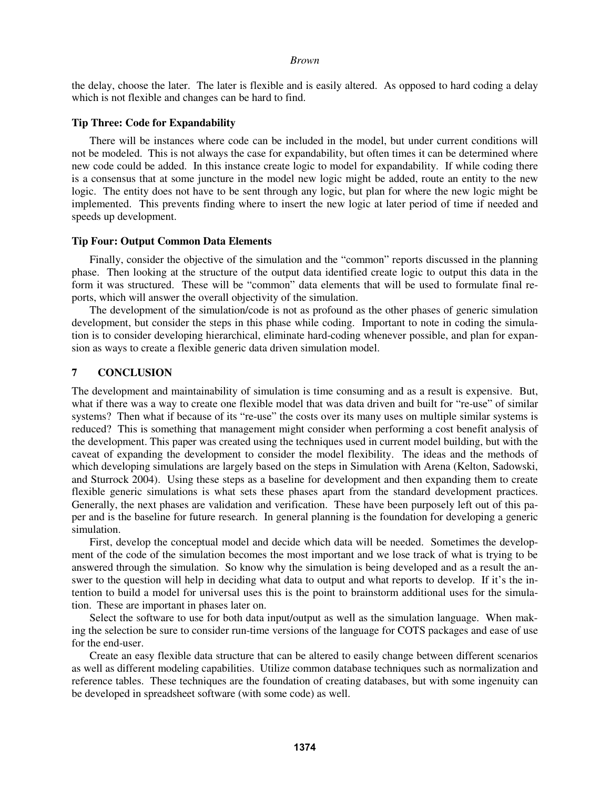the delay, choose the later. The later is flexible and is easily altered. As opposed to hard coding a delay which is not flexible and changes can be hard to find.

## **Tip Three: Code for Expandability**

 There will be instances where code can be included in the model, but under current conditions will not be modeled. This is not always the case for expandability, but often times it can be determined where new code could be added. In this instance create logic to model for expandability. If while coding there is a consensus that at some juncture in the model new logic might be added, route an entity to the new logic. The entity does not have to be sent through any logic, but plan for where the new logic might be implemented. This prevents finding where to insert the new logic at later period of time if needed and speeds up development.

## **Tip Four: Output Common Data Elements**

Finally, consider the objective of the simulation and the "common" reports discussed in the planning phase. Then looking at the structure of the output data identified create logic to output this data in the form it was structured. These will be "common" data elements that will be used to formulate final reports, which will answer the overall objectivity of the simulation.

 The development of the simulation/code is not as profound as the other phases of generic simulation development, but consider the steps in this phase while coding. Important to note in coding the simulation is to consider developing hierarchical, eliminate hard-coding whenever possible, and plan for expansion as ways to create a flexible generic data driven simulation model.

# **7 CONCLUSION**

The development and maintainability of simulation is time consuming and as a result is expensive. But, what if there was a way to create one flexible model that was data driven and built for "re-use" of similar systems? Then what if because of its "re-use" the costs over its many uses on multiple similar systems is reduced? This is something that management might consider when performing a cost benefit analysis of the development. This paper was created using the techniques used in current model building, but with the caveat of expanding the development to consider the model flexibility. The ideas and the methods of which developing simulations are largely based on the steps in Simulation with Arena (Kelton, Sadowski, and Sturrock 2004). Using these steps as a baseline for development and then expanding them to create flexible generic simulations is what sets these phases apart from the standard development practices. Generally, the next phases are validation and verification. These have been purposely left out of this paper and is the baseline for future research. In general planning is the foundation for developing a generic simulation.

 First, develop the conceptual model and decide which data will be needed. Sometimes the development of the code of the simulation becomes the most important and we lose track of what is trying to be answered through the simulation. So know why the simulation is being developed and as a result the answer to the question will help in deciding what data to output and what reports to develop. If it's the intention to build a model for universal uses this is the point to brainstorm additional uses for the simulation. These are important in phases later on.

 Select the software to use for both data input/output as well as the simulation language. When making the selection be sure to consider run-time versions of the language for COTS packages and ease of use for the end-user.

 Create an easy flexible data structure that can be altered to easily change between different scenarios as well as different modeling capabilities. Utilize common database techniques such as normalization and reference tables. These techniques are the foundation of creating databases, but with some ingenuity can be developed in spreadsheet software (with some code) as well.